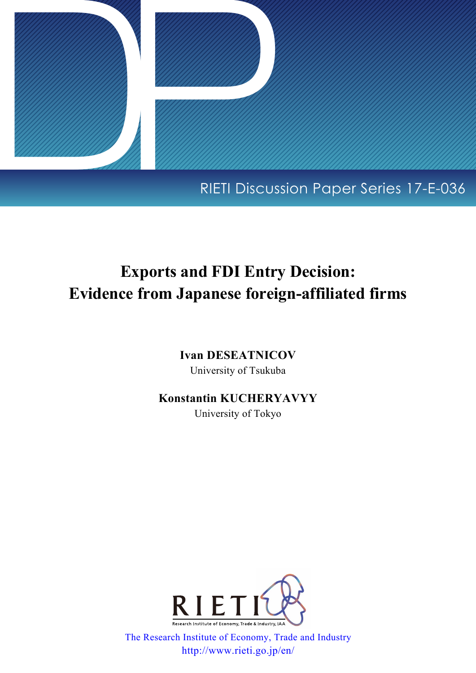

## RIETI Discussion Paper Series 17-E-036

# **Exports and FDI Entry Decision: Evidence from Japanese foreign-affiliated firms**

**Ivan DESEATNICOV** University of Tsukuba

## **Konstantin KUCHERYAVYY**

University of Tokyo



[The Research Institute of Economy, Trade and Industry](http://www.rieti.go.jp/en/index.html) http://www.rieti.go.jp/en/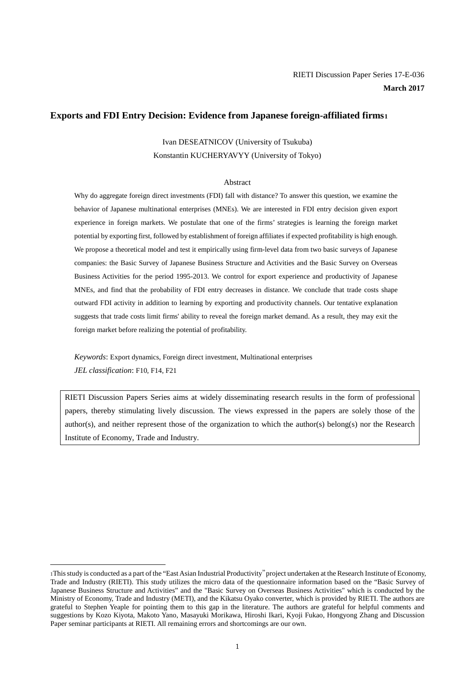#### **Exports and FDI Entry Decision: Evidence from Japanese foreign-affiliated firms1**

Ivan DESEATNICOV (University of Tsukuba) Konstantin KUCHERYAVYY (University of Tokyo)

#### Abstract

Why do aggregate foreign direct investments (FDI) fall with distance? To answer this question, we examine the behavior of Japanese multinational enterprises (MNEs). We are interested in FDI entry decision given export experience in foreign markets. We postulate that one of the firms' strategies is learning the foreign market potential by exporting first, followed by establishment of foreign affiliates if expected profitability is high enough. We propose a theoretical model and test it empirically using firm-level data from two basic surveys of Japanese companies: the Basic Survey of Japanese Business Structure and Activities and the Basic Survey on Overseas Business Activities for the period 1995-2013. We control for export experience and productivity of Japanese MNEs, and find that the probability of FDI entry decreases in distance. We conclude that trade costs shape outward FDI activity in addition to learning by exporting and productivity channels. Our tentative explanation suggests that trade costs limit firms' ability to reveal the foreign market demand. As a result, they may exit the foreign market before realizing the potential of profitability.

*Keywords*: Export dynamics, Foreign direct investment, Multinational enterprises *JEL classification*: F10, F14, F21

1

RIETI Discussion Papers Series aims at widely disseminating research results in the form of professional papers, thereby stimulating lively discussion. The views expressed in the papers are solely those of the author(s), and neither represent those of the organization to which the author(s) belong(s) nor the Research Institute of Economy, Trade and Industry.

<sup>1</sup>This study is conducted as a part of the "East Asian Industrial Productivity"project undertaken at the Research Institute of Economy, Trade and Industry (RIETI). This study utilizes the micro data of the questionnaire information based on the "Basic Survey of Japanese Business Structure and Activities" and the "Basic Survey on Overseas Business Activities" which is conducted by the Ministry of Economy, Trade and Industry (METI), and the Kikatsu Oyako converter, which is provided by RIETI. The authors are grateful to Stephen Yeaple for pointing them to this gap in the literature. The authors are grateful for helpful comments and suggestions by Kozo Kiyota, Makoto Yano, Masayuki Morikawa, Hiroshi Ikari, Kyoji Fukao, Hongyong Zhang and Discussion Paper seminar participants at RIETI. All remaining errors and shortcomings are our own.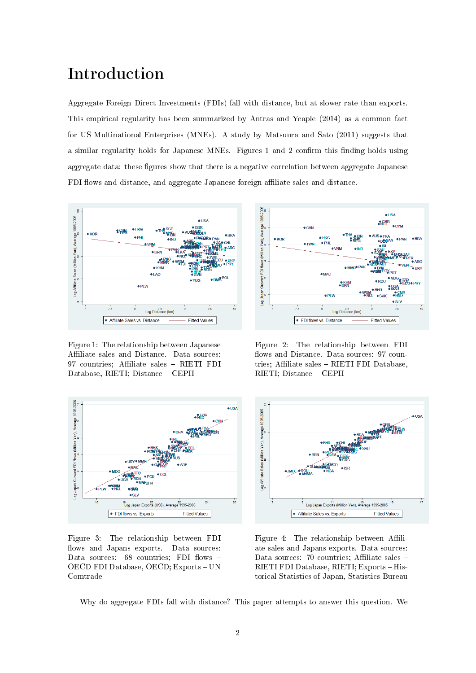## Introduction

Aggregate Foreign Direct Investments (FDIs) fall with distance, but at slower rate than exports. This empirical regularity has been summarized by Antras and Yeaple (2014) as a common fact for US Multinational Enterprises (MNEs). A study by Matsuura and Sato (2011) suggests that a similar regularity holds for Japanese MNEs. Figures 1 and 2 confirm this finding holds using aggregate data: these figures show that there is a negative correlation between aggregate Japanese FDI flows and distance, and aggregate Japanese foreign affiliate sales and distance.



Figure 1: The relationship between Japanese Affiliate sales and Distance. Data sources: 97 countries; Affiliate sales - RIETI FDI Database, RIETI; Distance - CEPII



Figure 3: The relationship between FDI flows and Japans exports. Data sources: Data sources:  $68$  countries; FDI flows -OECD FDI Database, OECD; Exports - UN Comtrade



Figure 2: The relationship between FDI flows and Distance. Data sources: 97 countries; Affiliate sales - RIETI FDI Database, RIETI; Distance CEPII



Figure 4: The relationship between Affiliate sales and Japans exports. Data sources: Data sources: 70 countries; Affiliate sales -RIETI FDI Database, RIETI; Exports - Historical Statistics of Japan, Statistics Bureau

Why do aggregate FDIs fall with distance? This paper attempts to answer this question. We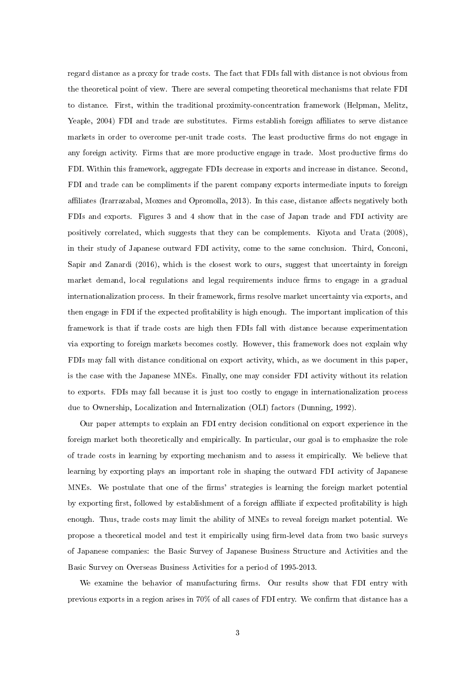regard distance as a proxy for trade costs. The fact that FDIs fall with distance is not obvious from the theoretical point of view. There are several competing theoretical mechanisms that relate FDI to distance. First, within the traditional proximity-concentration framework (Helpman, Melitz, Yeaple, 2004) FDI and trade are substitutes. Firms establish foreign affiliates to serve distance markets in order to overcome per-unit trade costs. The least productive firms do not engage in any foreign activity. Firms that are more productive engage in trade. Most productive firms do FDI. Within this framework, aggregate FDIs decrease in exports and increase in distance. Second, FDI and trade can be compliments if the parent company exports intermediate inputs to foreign affiliates (Irarrazabal, Moxnes and Opromolla, 2013). In this case, distance affects negatively both FDIs and exports. Figures 3 and 4 show that in the case of Japan trade and FDI activity are positively correlated, which suggests that they can be complements. Kiyota and Urata (2008), in their study of Japanese outward FDI activity, come to the same conclusion. Third, Conconi, Sapir and Zanardi (2016), which is the closest work to ours, suggest that uncertainty in foreign market demand, local regulations and legal requirements induce firms to engage in a gradual internationalization process. In their framework, firms resolve market uncertainty via exports, and then engage in FDI if the expected profitability is high enough. The important implication of this framework is that if trade costs are high then FDIs fall with distance because experimentation via exporting to foreign markets becomes costly. However, this framework does not explain why FDIs may fall with distance conditional on export activity, which, as we document in this paper, is the case with the Japanese MNEs. Finally, one may consider FDI activity without its relation to exports. FDIs may fall because it is just too costly to engage in internationalization process due to Ownership, Localization and Internalization (OLI) factors (Dunning, 1992).

Our paper attempts to explain an FDI entry decision conditional on export experience in the foreign market both theoretically and empirically. In particular, our goal is to emphasize the role of trade costs in learning by exporting mechanism and to assess it empirically. We believe that learning by exporting plays an important role in shaping the outward FDI activity of Japanese MNEs. We postulate that one of the firms' strategies is learning the foreign market potential by exporting first, followed by establishment of a foreign affiliate if expected profitability is high enough. Thus, trade costs may limit the ability of MNEs to reveal foreign market potential. We propose a theoretical model and test it empirically using firm-level data from two basic surveys of Japanese companies: the Basic Survey of Japanese Business Structure and Activities and the Basic Survey on Overseas Business Activities for a period of 1995-2013.

We examine the behavior of manufacturing firms. Our results show that FDI entry with previous exports in a region arises in  $70\%$  of all cases of FDI entry. We confirm that distance has a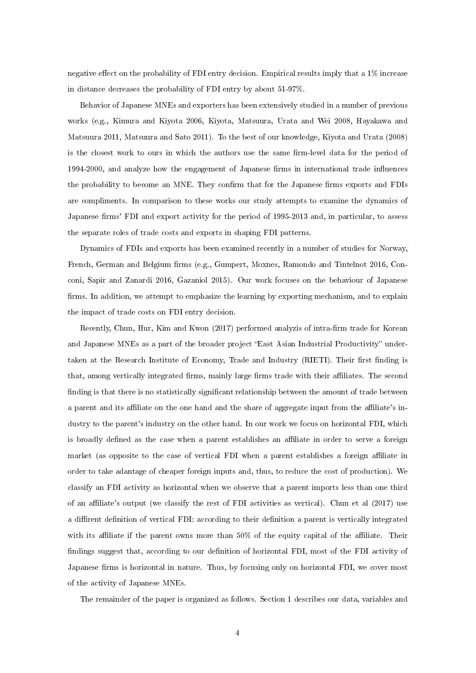negative effect on the probability of FDI entry decision. Empirical results imply that a  $1\%$  increase in distance decreases the probability of FDI entry by about 51-97%.

Behavior of Japanese MNEs and exporters has been extensively studied in a number of previous works (e.g., Kimura and Kiyota 2006, Kiyota, Matsuura, Urata and Wei 2008, Hayakawa and Matsuura 2011, Matsuura and Sato 2011). To the best of our knowledge, Kiyota and Urata (2008) is the closest work to ours in which the authors use the same firm-level data for the period of 1994-2000, and analyze how the engagement of Japanese firms in international trade influences the probability to become an MNE. They confirm that for the Japanese firms exports and FDIs are compliments. In comparison to these works our study attempts to examine the dynamics of Japanese firms' FDI and export activity for the period of 1995-2013 and, in particular, to assess the separate roles of trade costs and exports in shaping FDI patterns.

Dynamics of FDIs and exports has been examined recently in a number of studies for Norway, French, German and Belgium firms (e.g., Gumpert, Moxnes, Ramondo and Tintelnot 2016, Conconi, Sapir and Zanardi 2016, Gazaniol 2015). Our work focuses on the behaviour of Japanese firms. In addition, we attempt to emphasize the learning by exporting mechanism, and to explain the impact of trade costs on FDI entry decision.

Recently, Chun, Hur, Kim and Kwon (2017) performed analyzis of intra-firm trade for Korean and Japanese MNEs as a part of the broader project "East Asian Industrial Productivity" undertaken at the Research Institute of Economy, Trade and Industry (RIETI). Their first finding is that, among vertically integrated firms, mainly large firms trade with their affiliates. The second finding is that there is no statistically significant relationship between the amount of trade between a parent and its affiliate on the one hand and the share of aggregate input from the affiliate's industry to the parent's industry on the other hand. In our work we focus on horizontal FDI, which is broadly defined as the case when a parent establishes an affiliate in order to serve a foreign market (as opposite to the case of vertical FDI when a parent establishes a foreign affiliate in order to take adantage of cheaper foreign inputs and, thus, to reduce the cost of production). We classify an FDI activity as horizontal when we observe that a parent imports less than one third of an affiliate's output (we classify the rest of FDI activities as vertical). Chun et al (2017) use a diffirent definition of vertical FDI: according to their definition a parent is vertically integrated with its affiliate if the parent owns more than  $50\%$  of the equity capital of the affiliate. Their findings suggest that, according to our definition of horizontal FDI, most of the FDI activity of Japanese firms is horizontal in nature. Thus, by focusing only on horizontal FDI, we cover most of the activity of Japanese MNEs.

The remainder of the paper is organized as follows. Section 1 describes our data, variables and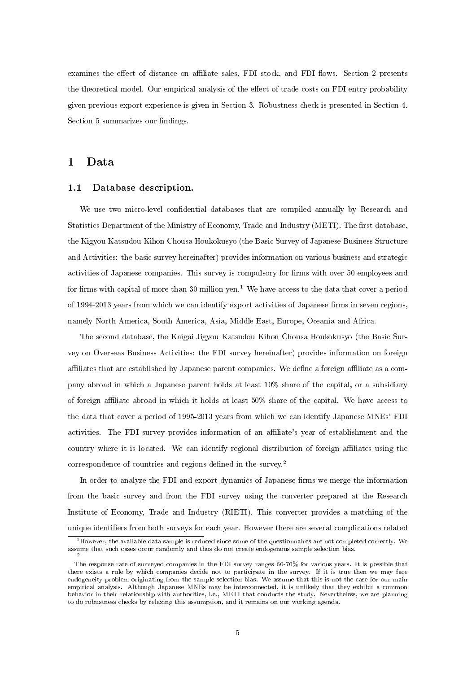examines the effect of distance on affiliate sales, FDI stock, and FDI flows. Section 2 presents the theoretical model. Our empirical analysis of the effect of trade costs on FDI entry probability given previous export experience is given in Section 3. Robustness check is presented in Section 4. Section 5 summarizes our findings.

### 1 Data

#### 1.1 Database description.

We use two micro-level confidential databases that are compiled annually by Research and Statistics Department of the Ministry of Economy, Trade and Industry (METI). The first database, the Kigyou Katsudou Kihon Chousa Houkokusyo (the Basic Survey of Japanese Business Structure and Activities: the basic survey hereinafter) provides information on various business and strategic activities of Japanese companies. This survey is compulsory for firms with over 50 employees and for firms with capital of more than 30 million yen.<sup>1</sup> We have access to the data that cover a period of 1994-2013 years from which we can identify export activities of Japanese firms in seven regions, namely North America, South America, Asia, Middle East, Europe, Oceania and Africa.

The second database, the Kaigai Jigyou Katsudou Kihon Chousa Houkokusyo (the Basic Survey on Overseas Business Activities: the FDI survey hereinafter) provides information on foreign affiliates that are established by Japanese parent companies. We define a foreign affiliate as a company abroad in which a Japanese parent holds at least 10% share of the capital, or a subsidiary of foreign affiliate abroad in which it holds at least 50% share of the capital. We have access to the data that cover a period of 1995-2013 years from which we can identify Japanese MNEs' FDI activities. The FDI survey provides information of an affiliate's year of establishment and the country where it is located. We can identify regional distribution of foreign affiliates using the correspondence of countries and regions defined in the survey.<sup>2</sup>

In order to analyze the FDI and export dynamics of Japanese firms we merge the information from the basic survey and from the FDI survey using the converter prepared at the Research Institute of Economy, Trade and Industry (RIETI). This converter provides a matching of the unique identifiers from both surveys for each year. However there are several complications related

 $1$ However, the available data sample is reduced since some of the questionnaires are not completed correctly. We assume that such cases occur randomly and thus do not create endogenous sample selection bias. 2

The response rate of surveyed companies in the FDI survey ranges 60-70% for various years. It is possible that there exists a rule by which companies decide not to participate in the survey. If it is true then we may face endogeneity problem originating from the sample selection bias. We assume that this is not the case for our main empirical analysis. Although Japanese MNEs may be interconnected, it is unlikely that they exhibit a common behavior in their relationship with authorities, i.e., METI that conducts the study. Nevertheless, we are planning to do robustness checks by relaxing this assumption, and it remains on our working agenda.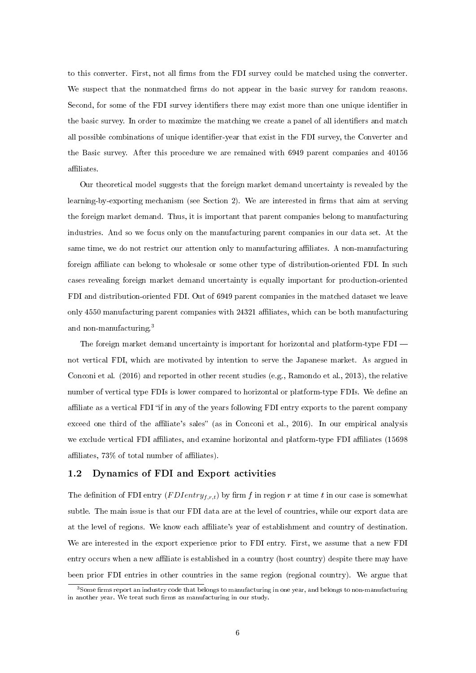to this converter. First, not all firms from the FDI survey could be matched using the converter. We suspect that the nonmatched firms do not appear in the basic survey for random reasons. Second, for some of the FDI survey identifiers there may exist more than one unique identifier in the basic survey. In order to maximize the matching we create a panel of all identifiers and match all possible combinations of unique identifier-year that exist in the FDI survey, the Converter and the Basic survey. After this procedure we are remained with 6949 parent companies and 40156 affiliates.

Our theoretical model suggests that the foreign market demand uncertainty is revealed by the learning-by-exporting mechanism (see Section 2). We are interested in firms that aim at serving the foreign market demand. Thus, it is important that parent companies belong to manufacturing industries. And so we focus only on the manufacturing parent companies in our data set. At the same time, we do not restrict our attention only to manufacturing affiliates. A non-manufacturing foreign affiliate can belong to wholesale or some other type of distribution-oriented FDI. In such cases revealing foreign market demand uncertainty is equally important for production-oriented FDI and distribution-oriented FDI. Out of 6949 parent companies in the matched dataset we leave only 4550 manufacturing parent companies with 24321 affiliates, which can be both manufacturing and non-manufacturing.<sup>3</sup>

The foreign market demand uncertainty is important for horizontal and platform-type FDI not vertical FDI, which are motivated by intention to serve the Japanese market. As argued in Conconi et al. (2016) and reported in other recent studies (e.g., Ramondo et al., 2013), the relative number of vertical type FDIs is lower compared to horizontal or platform-type FDIs. We define an affiliate as a vertical FDI "if in any of the years following FDI entry exports to the parent company exceed one third of the affiliate's sales" (as in Conconi et al., 2016). In our empirical analysis we exclude vertical FDI affiliates, and examine horizontal and platform-type FDI affiliates (15698) affiliates,  $73\%$  of total number of affiliates).

#### 1.2 Dynamics of FDI and Export activities

The definition of FDI entry  $(FDIntry_{f,r,t})$  by firm f in region r at time t in our case is somewhat subtle. The main issue is that our FDI data are at the level of countries, while our export data are at the level of regions. We know each aliate's year of establishment and country of destination. We are interested in the export experience prior to FDI entry. First, we assume that a new FDI entry occurs when a new affiliate is established in a country (host country) despite there may have been prior FDI entries in other countries in the same region (regional country). We argue that

 $3$  Some firms report an industry code that belongs to manufacturing in one year, and belongs to non-manufacturing in another year. We treat such firms as manufacturing in our study.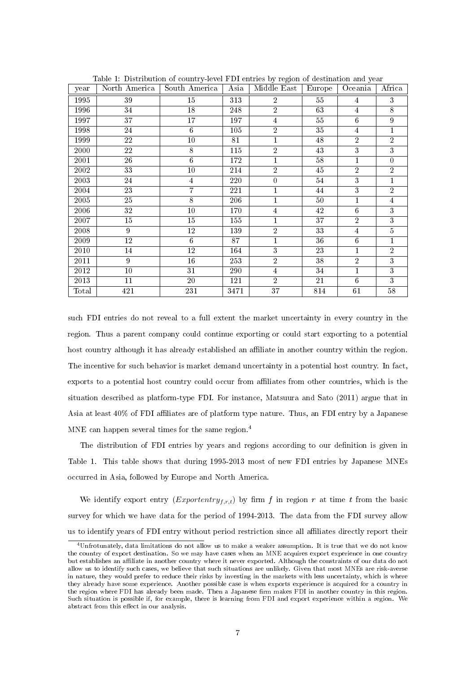| year  | Table 1. Distribution of country-level PDT charles by region of destination and year<br>North America | South America   | Asia    | Middle East    | Europe | Oceania         | Africa         |
|-------|-------------------------------------------------------------------------------------------------------|-----------------|---------|----------------|--------|-----------------|----------------|
| 1995  | 39                                                                                                    | $\overline{15}$ | 313     | $\overline{2}$ | $55\,$ | $\overline{4}$  | $\overline{3}$ |
| 1996  | 34                                                                                                    | 18              | 248     | $\overline{2}$ | 63     | 4               | $\overline{8}$ |
| 1997  | 37                                                                                                    | 17              | 197     | $\overline{4}$ | $55\,$ | $\overline{6}$  | 9              |
| 1998  | 24                                                                                                    | 6               | 105     | $\overline{2}$ | 35     | $\overline{4}$  | 1              |
| 1999  | 22                                                                                                    | 10              | 81      | $\mathbf{1}$   | 48     | $\overline{2}$  | $\overline{2}$ |
| 2000  | 22                                                                                                    | $8\,$           | 115     | $\overline{2}$ | 43     | 3               | 3              |
| 2001  | 26                                                                                                    | 6               | 172     | $\mathbf{1}$   | 58     | $\mathbf{1}$    | $\overline{0}$ |
| 2002  | 33                                                                                                    | 10              | 214     | $\overline{2}$ | 45     | $\overline{2}$  | $\overline{2}$ |
| 2003  | 24                                                                                                    | 4               | 220     | $\overline{0}$ | 54     | $\overline{3}$  | $\mathbf{1}$   |
| 2004  | 23                                                                                                    | 7               | 221     | $\mathbf{1}$   | 44     | 3               | $\overline{2}$ |
| 2005  | 25                                                                                                    | 8               | 206     | $\mathbf{1}$   | 50     | $\mathbf{1}$    | $\overline{4}$ |
| 2006  | 32                                                                                                    | 10              | 170     | $\overline{4}$ | 42     | $6\phantom{.}6$ | 3              |
| 2007  | 15                                                                                                    | 15              | $155\,$ | $\mathbf{1}$   | 37     | $\overline{2}$  | 3              |
| 2008  | 9                                                                                                     | 12              | 139     | $\overline{2}$ | 33     | $\overline{4}$  | $\overline{5}$ |
| 2009  | 12                                                                                                    | 6               | 87      | $\mathbf{1}$   | 36     | $\,6$           | 1              |
| 2010  | 14                                                                                                    | 12              | 164     | 3              | 23     | $\mathbf{1}$    | $\overline{2}$ |
| 2011  | 9                                                                                                     | 16              | 253     | $\overline{2}$ | 38     | $\overline{2}$  | $\overline{3}$ |
| 2012  | 10                                                                                                    | 31              | 290     | $\overline{4}$ | 34     | $\mathbf{1}$    | 3              |
| 2013  | 11                                                                                                    | 20              | 121     | $\overline{2}$ | 21     | $\overline{6}$  | $\overline{3}$ |
| Total | 421                                                                                                   | 231             | 3471    | 37             | 814    | 61              | $58\,$         |

Table 1: Distribution of country-level FDI entries by region of destination and year

such FDI entries do not reveal to a full extent the market uncertainty in every country in the region. Thus a parent company could continue exporting or could start exporting to a potential host country although it has already established an affiliate in another country within the region. The incentive for such behavior is market demand uncertainty in a potential host country. In fact, exports to a potential host country could occur from aliates from other countries, which is the situation described as platform-type FDI. For instance, Matsuura and Sato (2011) argue that in Asia at least  $40\%$  of FDI affiliates are of platform type nature. Thus, an FDI entry by a Japanese MNE can happen several times for the same region.<sup>4</sup>

The distribution of FDI entries by years and regions according to our definition is given in Table 1. This table shows that during 1995-2013 most of new FDI entries by Japanese MNEs occurred in Asia, followed by Europe and North America.

We identify export entry  $(Experimentry_{f.r.t})$  by firm f in region r at time t from the basic survey for which we have data for the period of 1994-2013. The data from the FDI survey allow us to identify years of FDI entry without period restriction since all affiliates directly report their

<sup>4</sup>Unfrotunately, data limitations do not allow us to make a weaker assumption. It is true that we do not know the country of export destination. So we may have cases when an MNE acquires export experience in one country but establishes an affiliate in another country where it never exported. Although the constraints of our data do not allow us to identify such cases, we believe that such situations are unlikely. Given that most MNEs are risk-averse in nature, they would prefer to reduce their risks by investing in the markets with less uncertainty, which is where they already have some experience. Another possible case is when exports experience is acquired for a country in the region where FDI has already been made. Then a Japanese firm makes FDI in another country in this region. Such situation is possible if, for example, there is learning from FDI and export experience within a region. We abstract from this effect in our analysis.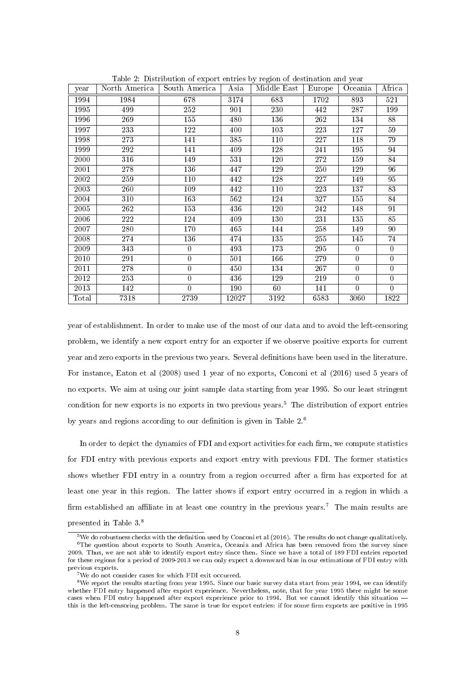| year                   | North America | Table 2. Distribution of export entries by region of destination and year<br>South America | Asia  | Middle East | Europe | Oceania        | Africa           |
|------------------------|---------------|--------------------------------------------------------------------------------------------|-------|-------------|--------|----------------|------------------|
| 1994                   | 1984          | 678                                                                                        | 3174  | 683         | 1702   | 893            | 521              |
| 1995                   | 499           | 252                                                                                        | 901   | 230         | 442    | 287            | 199              |
| 1996                   | 269           | 155                                                                                        | 480   | 136         | 262    | 134            | 88               |
| 1997                   | 233           | 122                                                                                        | 400   | 103         | 223    | 127            | 59               |
| 1998                   | 273           | 141                                                                                        | 385   | 110         | 227    | 118            | 79               |
| 1999                   | 292           | 141                                                                                        | 409   | 128         | 241    | 195            | 94               |
| 2000                   | 316           | 149                                                                                        | 531   | 120         | 272    | 159            | 84               |
| 2001                   | 278           | 136                                                                                        | 447   | 129         | 250    | 129            | 96               |
| 2002                   | 259           | 110                                                                                        | 442   | 128         | 227    | 149            | 95               |
| 2003                   | 260           | 109                                                                                        | 442   | 110         | 223    | 137            | 83               |
| 2004                   | 310           | 163                                                                                        | 562   | 124         | 327    | 155            | 84               |
| 2005                   | 262           | 153                                                                                        | 436   | 120         | 242    | 148            | 91               |
| 2006                   | 222           | 124                                                                                        | 409   | 130         | 231    | 135            | 85               |
| 2007                   | 280           | 170                                                                                        | 465   | 144         | 258    | 149            | 90               |
| 2008                   | 274           | 136                                                                                        | 474   | 135         | 255    | 145            | 74               |
| 2009                   | 343           | $\overline{0}$                                                                             | 493   | 173         | 295    | $\theta$       | $\overline{0}$   |
| 2010                   | 291           | $\boldsymbol{0}$                                                                           | 501   | 166         | 279    | $\theta$       | $\boldsymbol{0}$ |
| 2011                   | 278           | $\mathbf{0}$                                                                               | 450   | 134         | 267    | $\mathbf{0}$   | $\overline{0}$   |
| 2012                   | 253           | $\theta$                                                                                   | 436   | 129         | 219    | $\overline{0}$ | $\overline{0}$   |
| 2013                   | 142           | $\Omega$                                                                                   | 190   | 60          | 141    | $\mathbf{0}$   | $\overline{0}$   |
| $\operatorname{Total}$ | 7318          | 2739                                                                                       | 12027 | 3192        | 6583   | 3060           | 1822             |

Table 2: Distribution of export entries by region of destination and year

year of establishment. In order to make use of the most of our data and to avoid the left-censoring problem, we identify a new export entry for an exporter if we observe positive exports for current year and zero exports in the previous two years. Several definitions have been used in the literature. For instance, Eaton et al (2008) used 1 year of no exports, Conconi et al (2016) used 5 years of no exports. We aim at using our joint sample data starting from year 1995. So our least stringent condition for new exports is no exports in two previous years.<sup>5</sup> The distribution of export entries by years and regions according to our definition is given in Table  $2.6$ 

In order to depict the dynamics of FDI and export activities for each firm, we compute statistics for FDI entry with previous exports and export entry with previous FDI. The former statistics shows whether FDI entry in a country from a region occurred after a firm has exported for at least one year in this region. The latter shows if export entry occurred in a region in which a firm established an affiliate in at least one country in the previous years.<sup>7</sup> The main results are presented in Table 3.<sup>8</sup>

 $^5$ We do robustness checks with the definition used by Conconi et al (2016). The results do not change qualitatively. <sup>6</sup>The question about exports to South America, Oceania and Africa has been removed from the survey since 2009. Thus, we are not able to identify export entry since then. Since we have a total of 189 FDI entries reported for these regions for a period of 2009-2013 we can only expect a downward bias in our estimations of FDI entry with previous exports.

<sup>7</sup>We do not consider cases for which FDI exit occurred.

<sup>8</sup>We report the results starting from year 1995. Since our basic survey data start from year 1994, we can identify whether FDI entry happened after export experience. Nevertheless, note, that for year 1995 there might be some cases when FDI entry happened after export experience prior to 1994. But we cannot identify this situation this is the left-censoring problem. The same is true for export entries: if for some firm exports are positive in 1995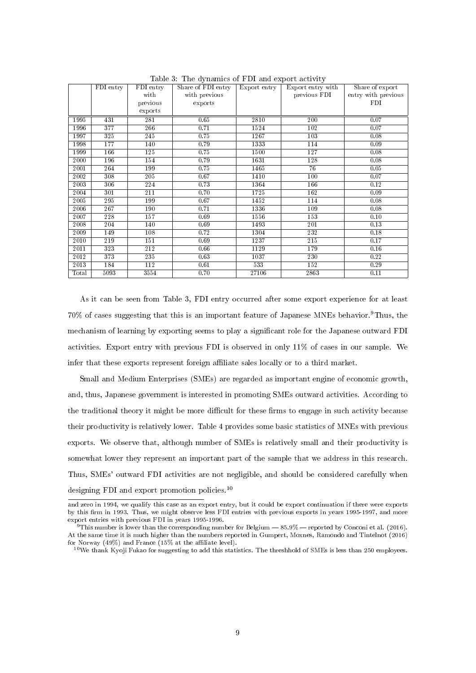|       | FDI entry | FDI entry | rapic of the aymannes of first and export activity<br>Share of FDI entry | Export entry | Export entry with | Share of export     |
|-------|-----------|-----------|--------------------------------------------------------------------------|--------------|-------------------|---------------------|
|       |           | with      | with previous                                                            |              | previous FDI      | entry with previous |
|       |           | previous  | exports                                                                  |              |                   | FDI.                |
|       |           | exports   |                                                                          |              |                   |                     |
| 1995  | 431       | 281       | 0.65                                                                     | 2810         | 200               | 0.07                |
| 1996  | 377       | 266       | 0.71                                                                     | 1524         | 102               | 0.07                |
| 1997  | 325       | 245       | 0.75                                                                     | 1267         | 103               | 0.08                |
| 1998  | 177       | 140       | 0.79                                                                     | 1333         | 114               | 0.09                |
| 1999  | 166       | 125       | 0.75                                                                     | 1500         | 127               | 0.08                |
| 2000  | 196       | 154       | 0.79                                                                     | 1631         | 128               | 0.08                |
| 2001  | 264       | 199       | 0.75                                                                     | 1465         | 76                | 0.05                |
| 2002  | 308       | 205       | 0.67                                                                     | 1410         | 100               | 0.07                |
| 2003  | 306       | 224       | 0.73                                                                     | 1364         | 166               | 0.12                |
| 2004  | 301       | 211       | 0.70                                                                     | 1725         | 162               | 0.09                |
| 2005  | 295       | 199       | 0.67                                                                     | 1452         | 114               | 0.08                |
| 2006  | 267       | 190       | 0.71                                                                     | 1336         | 109               | 0.08                |
| 2007  | 228       | 157       | 0.69                                                                     | 1556         | 153               | 0.10                |
| 2008  | 204       | 140       | 0.69                                                                     | 1493         | 201               | 0.13                |
| 2009  | 149       | 108       | 0.72                                                                     | 1304         | 232               | 0.18                |
| 2010  | 219       | 151       | 0.69                                                                     | 1237         | 215               | 0.17                |
| 2011  | 323       | 212       | 0.66                                                                     | 1129         | 179               | 0.16                |
| 2012  | 373       | 235       | 0.63                                                                     | 1037         | 230               | 0.22                |
| 2013  | 184       | 112       | 0.61                                                                     | 533          | 152               | 0.29                |
| Total | 5093      | 3554      | 0.70                                                                     | 27106        | 2863              | 0.11                |

Table 3: The dynamics of FDI and export activity

As it can be seen from Table 3, FDI entry occurred after some export experience for at least 70% of cases suggesting that this is an important feature of Japanese MNEs behavior.<sup>9</sup>Thus, the mechanism of learning by exporting seems to play a signicant role for the Japanese outward FDI activities. Export entry with previous FDI is observed in only 11% of cases in our sample. We infer that these exports represent foreign affiliate sales locally or to a third market.

Small and Medium Enterprises (SMEs) are regarded as important engine of economic growth, and, thus, Japanese government is interested in promoting SMEs outward activities. According to the traditional theory it might be more difficult for these firms to engage in such activity because their productivity is relatively lower. Table 4 provides some basic statistics of MNEs with previous exports. We observe that, although number of SMEs is relatively small and their productivity is somewhat lower they represent an important part of the sample that we address in this research. Thus, SMEs' outward FDI activities are not negligible, and should be considered carefully when designing FDI and export promotion policies.<sup>10</sup>

and zero in 1994, we qualify this case as an export entry, but it could be export continuation if there were exports by this rm in 1993. Thus, we might observe less FDI entries with previous exports in years 1995-1997, and more export entries with previous FDI in years 1995-1996.

<sup>&</sup>lt;sup>9</sup>This number is lower than the corresponding number for Belgium  $-85.9\%$  - reported by Conconi et al. (2016). At the same time it is much higher than the numbers reported in Gumpert, Moxnes, Ramondo and Tintelnot (2016) for Norway (49%) and France (15% at the affiliate level).

 $10$  We thank Kyoji Fukao for suggesting to add this statistics. The threshhold of SMEs is less than 250 employees.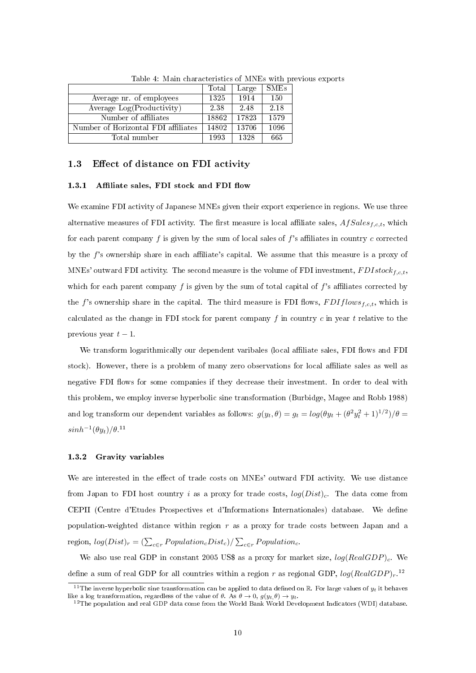|                                     | Total | Large | <b>SMEs</b> |
|-------------------------------------|-------|-------|-------------|
| Average nr. of employees            | 1325  | 1914  | 150         |
| Average Log(Productivity)           | 2.38  | 2.48  | 2.18        |
| Number of affiliates                | 18862 | 17823 | 1579        |
| Number of Horizontal FDI affiliates | 14802 | 13706 | 1096        |
| Total number                        | 1993  | 1328  | 665         |

Table 4: Main characteristics of MNEs with previous exports

#### 1.3 Effect of distance on FDI activity

#### 1.3.1 Affiliate sales, FDI stock and FDI flow

We examine FDI activity of Japanese MNEs given their export experience in regions. We use three alternative measures of FDI activity. The first measure is local affiliate sales,  $Afsales_{f,c,t}$ , which for each parent company  $f$  is given by the sum of local sales of  $f$ 's affiliates in country  $c$  corrected by the  $f$ 's ownership share in each affiliate's capital. We assume that this measure is a proxy of MNEs' outward FDI activity. The second measure is the volume of FDI investment,  $FDI stock_{f,c,t}$ , which for each parent company  $f$  is given by the sum of total capital of  $f$ 's affiliates corrected by the f's ownership share in the capital. The third measure is FDI flows,  $FDIf low s_{f,c,t}$ , which is calculated as the change in FDI stock for parent company f in country c in year t relative to the previous year  $t-1$ .

We transform logarithmically our dependent varibales (local affiliate sales, FDI flows and FDI stock). However, there is a problem of many zero observations for local affiliate sales as well as negative FDI flows for some companies if they decrease their investment. In order to deal with this problem, we employ inverse hyperbolic sine transformation (Burbidge, Magee and Robb 1988) and log transform our dependent variables as follows:  $g(y_t, \theta) = g_t = log(\theta y_t + (\theta^2 y_t^2 + 1)^{1/2})/\theta =$  $sinh^{-1}(\theta y_t)/\theta$ <sup>11</sup>

#### 1.3.2 Gravity variables

We are interested in the effect of trade costs on MNEs' outward FDI activity. We use distance from Japan to FDI host country i as a proxy for trade costs,  $log(Dist)<sub>c</sub>$ . The data come from CEPII (Centre d'Etudes Prospectives et d'Informations Internationales) database. We dene population-weighted distance within region  $r$  as a proxy for trade costs between Japan and a region,  $log(Dist)_r = \left(\sum_{c \in r} Population_cDist_c\right) / \sum_{c \in r} Population_c$ .

We also use real GDP in constant 2005 US\$ as a proxy for market size,  $log(RealGDP)_{c}$ . We define a sum of real GDP for all countries within a region r as regional GDP,  $log(Real GDP)_{r}$ .<sup>12</sup>

<sup>&</sup>lt;sup>11</sup> The inverse hyperbolic sine transformation can be applied to data defined on  $\mathbb R$ . For large values of  $y_t$  it behaves like a log transformation, regardless of the value of  $\theta$ . As  $\theta \to 0$ ,  $g(y_t, \theta) \to y_t$ .

 $12$ The population and real GDP data come from the World Bank World Development Indicators (WDI) database.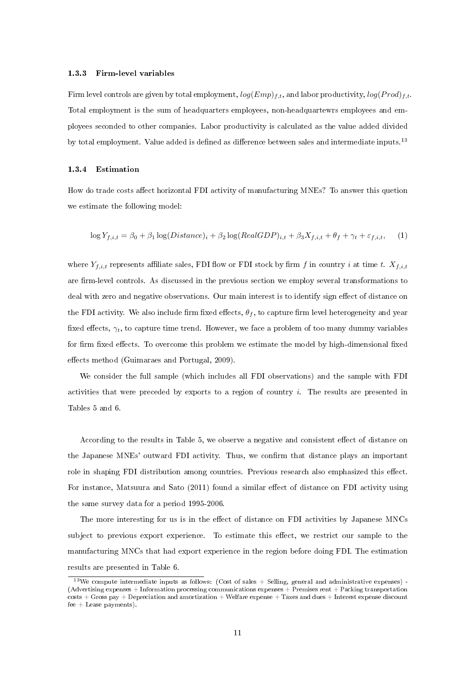#### 1.3.3 Firm-level variables

Firm level controls are given by total employment,  $log(Emp)_{f,t}$ , and labor productivity,  $log(Prod)_{f,t}$ . Total employment is the sum of headquarters employees, non-headquartewrs employees and employees seconded to other companies. Labor productivity is calculated as the value added divided by total employment. Value added is defined as difference between sales and intermediate inputs.<sup>13</sup>

#### 1.3.4 Estimation

How do trade costs affect horizontal FDI activity of manufacturing MNEs? To answer this quetion we estimate the following model:

$$
\log Y_{f,i,t} = \beta_0 + \beta_1 \log(Distance)_i + \beta_2 \log(RealGDP)_{i,t} + \beta_3 X_{f,i,t} + \theta_f + \gamma_t + \varepsilon_{f,i,t}, \quad (1)
$$

where  $Y_{f,i,t}$  represents affiliate sales, FDI flow or FDI stock by firm f in country i at time t.  $X_{f,i,t}$ are firm-level controls. As discussed in the previous section we employ several transformations to deal with zero and negative observations. Our main interest is to identify sign effect of distance on the FDI activity. We also include firm fixed effects,  $\theta_f$ , to capture firm level heterogeneity and year fixed effects,  $\gamma_t$ , to capture time trend. However, we face a problem of too many dummy variables for firm fixed effects. To overcome this problem we estimate the model by high-dimensional fixed effects method (Guimaraes and Portugal, 2009).

We consider the full sample (which includes all FDI observations) and the sample with FDI activities that were preceded by exports to a region of country  $i$ . The results are presented in Tables 5 and 6.

According to the results in Table 5, we observe a negative and consistent effect of distance on the Japanese MNEs' outward FDI activity. Thus, we confirm that distance plays an important role in shaping FDI distribution among countries. Previous research also emphasized this effect. For instance, Matsuura and Sato (2011) found a similar effect of distance on FDI activity using the same survey data for a period 1995-2006.

The more interesting for us is in the effect of distance on FDI activities by Japanese MNCs subject to previous export experience. To estimate this effect, we restrict our sample to the manufacturing MNCs that had export experience in the region before doing FDI. The estimation results are presented in Table 6.

 $13$ We compute intermediate inputs as follows: (Cost of sales + Selling, general and administrative expenses) -(Advertising expenses + Information processing communications expenses + Premises rent + Packing transportation  $costs + Gross pay + Depreciation and annotation + Welfare expense + Taxes and dues + Interest expense discount$  $fee + Lease payments$ ).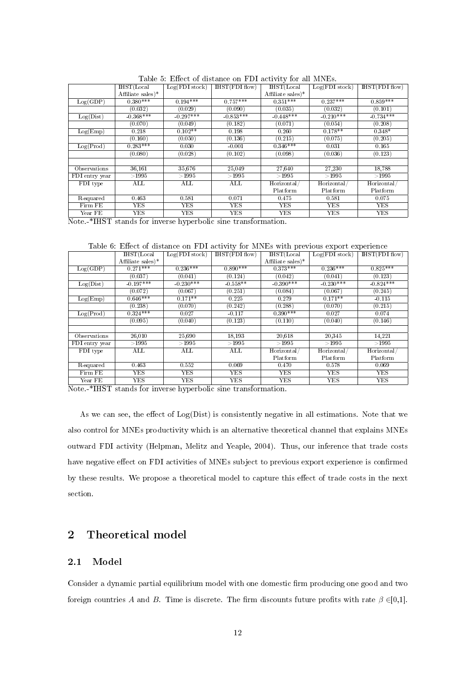|                                    | Table of Effect of distance on T.D.I activity for an influent |                                |                         |                       |                     |              |  |  |  |
|------------------------------------|---------------------------------------------------------------|--------------------------------|-------------------------|-----------------------|---------------------|--------------|--|--|--|
|                                    | I HST (Local)                                                 | $Log(FDI \, stock)$            | HST(FDIflow)            | IHST(Local            | $Log(FDI \, stock)$ | HST(FDIflow) |  |  |  |
|                                    | Affiliate sales $)^*$                                         |                                |                         | Affiliate sales $)^*$ |                     |              |  |  |  |
| Log(GDP)                           | $0.380***$                                                    | $0.194***$                     | $0.757***$              | $0.351***$            | $0.237***$          | $0.859***$   |  |  |  |
|                                    | (0.032)                                                       | (0.029)                        | (0.090)                 | (0.035)               | (0.032)             | (0.101)      |  |  |  |
| Log(Dist)                          | $-0.368***$                                                   | $-0.297***$                    | $-0.853***$             | $-0.448***$           | $-0.210***$         | $-0.734***$  |  |  |  |
|                                    | (0.070)                                                       | (0.049)                        | (0.182)                 | (0.071)               | (0.054)             | (0.208)      |  |  |  |
| Log(Emp)                           | 0.218                                                         | $0.102**$                      | 0.198                   | 0.260                 | $0.178**$           | $0.348*$     |  |  |  |
|                                    | (0.160)                                                       | (0.050)                        | (0.136)                 | (0.215)               | (0.075)             | (0.205)      |  |  |  |
| Log(Prod)                          | $0.283***$                                                    | 0.030                          | $-0.001$                | $0.346***$            | 0.031               | 0.165        |  |  |  |
|                                    | (0.080)                                                       | (0.028)                        | (0.102)                 | (0.098)               | (0.036)             | (0.123)      |  |  |  |
|                                    |                                                               |                                |                         |                       |                     |              |  |  |  |
| Observations                       | 36,161                                                        | 35,676                         | 25,049                  | 27,640                | 27,230              | 18,788       |  |  |  |
| FDI entry year                     | $>\!\!1995$                                                   | >1995                          | >1995                   | >1995                 | >1995               | >1995        |  |  |  |
| FDI type                           | $\mathop{\mathrm{ALL}}$                                       | ALL                            | $\mathop{\mathrm{ALL}}$ | Horizontal/           | Horizontal/         | Horizontal   |  |  |  |
|                                    |                                                               |                                |                         | Platform              | Platform            | Platform     |  |  |  |
| R-squared                          | 0.463                                                         | 0.581                          | 0.071                   | 0.475                 | 0.581               | 0.075        |  |  |  |
| Firm FE                            | YES                                                           | YES                            | YES                     | YES                   | YES                 | <b>YES</b>   |  |  |  |
| Year FE                            | YES                                                           | YES                            | YES                     | YES                   | YES                 | YES.         |  |  |  |
| $\sim$ - - - $\sim$ - $\sim$<br>-- | $\sim$ $\sim$                                                 | <b>Service Controller</b><br>. |                         |                       |                     |              |  |  |  |

Table 5: Effect of distance on FDI activity for all MNEs

Note.-\*IHST stands for inverse hyperbolic sine transformation.

Table 6: Effect of distance on FDI activity for MNEs with previous export experience

|                | I <sub>HST</sub> (Local) | $Log(FDI \, stock)$       | HST(FDIflow) | IHST(Local        | $Log(FDI \, stock)$ | $HST(FDI$ flow) |
|----------------|--------------------------|---------------------------|--------------|-------------------|---------------------|-----------------|
|                | Affiliate sales)*        |                           |              | Affiliate sales)* |                     |                 |
| Log(GDP)       | $0.271***$               | $0.236***$                | $0.890***$   | $0.373***$        | $0.236***$          | $0.825***$      |
|                | (0.037)                  | (0.041)                   | (0.124)      | (0.042)           | (0.041)             | (0.123)         |
| Log(Dist)      | $-0.197***$              | $-0.230***$               | $-0.558**$   | $-0.390***$       | $-0.230***$         | $-0.824***$     |
|                | (0.072)                  | (0.067)                   | (0.251)      | (0.084)           | (0.067)             | (0.245)         |
| Log(Emp)       | $0.646***$               | $0.171**$                 | 0.225        | 0.279             | $0.171**$           | $-0.115$        |
|                | (0.238)                  | (0.070)                   | (0.242)      | (0.288)           | (0.070)             | (0.215)         |
| Log(Prod)      | $0.324***$               | 0.027                     | $-0.117$     | $0.390***$        | 0.027               | 0.074           |
|                | (0.095)                  | (0.040)                   | (0.123)      | (0.110)           | (0.040)             | (0.146)         |
|                |                          |                           |              |                   |                     |                 |
| Observations   | 26,010                   | 25,690                    | 18,193       | 20,618            | 20.345              | 14,221          |
| FDI entry year | >1995                    | >1995                     | >1995        | >1995             | >1995               | >1995           |
| FDI type       | ALL                      | $\overline{\mathrm{ALL}}$ | ALL          | Horizontal/       | Horizontal/         | Horizontal/     |
|                |                          |                           |              | Platform          | Platform            | Platform        |
| R-squared      | 0.463                    | 0.552                     | 0.069        | 0.470             | 0.578               | 0.069           |
| Firm FE        | YES                      | YES                       | <b>YES</b>   | YES               | <b>YES</b>          | YES.            |
| Year FE        | <b>YES</b>               | <b>YES</b>                | <b>YES</b>   | <b>YES</b>        | <b>YES</b>          | <b>YES</b>      |

Note.-\*IHST stands for inverse hyperbolic sine transformation.

As we can see, the effect of  $Log(Dist)$  is consistently negative in all estimations. Note that we also control for MNEs productivity which is an alternative theoretical channel that explains MNEs outward FDI activity (Helpman, Melitz and Yeaple, 2004). Thus, our inference that trade costs have negative effect on FDI activities of MNEs subject to previous export experience is confirmed by these results. We propose a theoretical model to capture this effect of trade costs in the next section.

## 2 Theoretical model

#### 2.1 Model

Consider a dynamic partial equilibrium model with one domestic firm producing one good and two foreign countries A and B. Time is discrete. The firm discounts future profits with rate  $\beta \in [0,1]$ .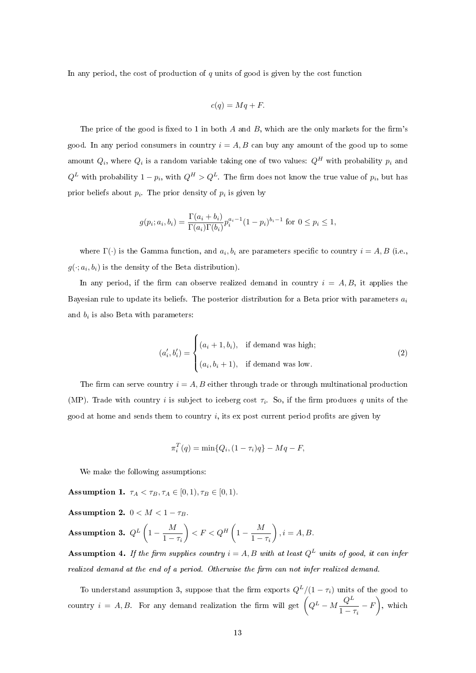In any period, the cost of production of  $q$  units of good is given by the cost function

$$
c(q) = Mq + F.
$$

The price of the good is fixed to 1 in both  $A$  and  $B$ , which are the only markets for the firm's good. In any period consumers in country  $i = A, B$  can buy any amount of the good up to some amount  $Q_i$ , where  $Q_i$  is a random variable taking one of two values:  $Q^H$  with probability  $p_i$  and  $Q^L$  with probability  $1-p_i$ , with  $Q^H > Q^L$ . The firm does not know the true value of  $p_i$ , but has prior beliefs about  $p_i$ . The prior density of  $p_i$  is given by

$$
g(p_i; a_i, b_i) = \frac{\Gamma(a_i + b_i)}{\Gamma(a_i)\Gamma(b_i)} p_i^{a_i - 1} (1 - p_i)^{b_i - 1} \text{ for } 0 \le p_i \le 1,
$$

where  $\Gamma(\cdot)$  is the Gamma function, and  $a_i, b_i$  are parameters specific to country  $i = A, B$  (i.e.,  $g(\cdot; a_i, b_i)$  is the density of the Beta distribution).

In any period, if the firm can observe realized demand in country  $i = A, B$ , it applies the Bayesian rule to update its beliefs. The posterior distribution for a Beta prior with parameters  $a_i$ and  $b_i$  is also Beta with parameters:

$$
(a'_i, b'_i) = \begin{cases} (a_i + 1, b_i), & \text{if demand was high;} \\ (a_i, b_i + 1), & \text{if demand was low.} \end{cases}
$$
 (2)

The firm can serve country  $i = A, B$  either through trade or through multinational production (MP). Trade with country i is subject to iceberg cost  $\tau_i$ . So, if the firm produces q units of the good at home and sends them to country  $i$ , its ex post current period profits are given by

$$
\pi_i^T(q) = \min\{Q_i, (1 - \tau_i)q\} - Mq - F,
$$

We make the following assumptions:

Assumption 1.  $\tau_A < \tau_B, \tau_A \in [0,1), \tau_B \in [0,1)$ .

Assumption 2.  $0 < M < 1 - \tau_B$ . Assumption 3.  $Q^L\left(1-\frac{M}{1-\frac{M^2}{2}}\right)$  $1 - \tau_i$  $\bigg\} < F < Q^H \left(1 - \frac{M}{1 - \frac{M}{\lambda}}\right)$  $1 - \tau_i$  $\bigg), i = A, B.$ 

Assumption 4. If the firm supplies country  $i = A, B$  with at least  $Q^L$  units of good, it can infer realized demand at the end of a period. Otherwise the firm can not infer realized demand.

To understand assumption 3, suppose that the firm exports  $Q^L/(1 - \tau_i)$  units of the good to country  $i = A, B$ . For any demand realization the firm will get  $\left(Q^L - M\frac{Q^L}{\lambda}\right)$  $\left(\frac{Q^L}{1-\tau_i}-F\right)$ , which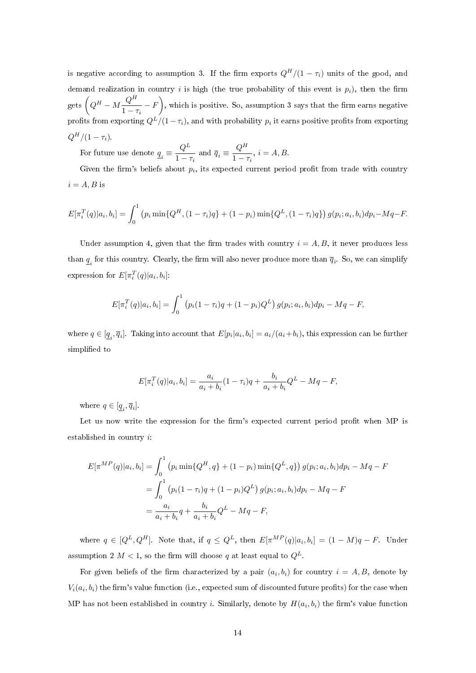is negative according to assumption 3. If the firm exports  $Q^H/(1 - \tau_i)$  units of the good, and demand realization in country i is high (the true probability of this event is  $p_i$ ), then the firm gets  $\left(Q^H - M\frac{Q^H}{1}\right)$  $\left(\frac{Q^H}{1-\tau_i}-F\right)$ , which is positive. So, assumption 3 says that the firm earns negative profits from exporting  $Q^L/(1-\tau_i),$  and with probability  $p_i$  it earns positive profits from exporting  $Q^H/(1 - \tau_i)$ .

For future use denote  $q_i \equiv \frac{Q^L}{1 - \epsilon}$  $\frac{Q^L}{1-\tau_i}$  and  $\overline{q}_i \equiv \frac{Q^H}{1-\tau_i}$  $\frac{q}{1-\tau_i}, i=A, B.$ 

Given the firm's beliefs about  $p_i$ , its expected current period profit from trade with country  $i = A, B$  is

$$
E[\pi_i^T(q)|a_i, b_i] = \int_0^1 (p_i \min\{Q^H, (1-\tau_i)q\} + (1-p_i) \min\{Q^L, (1-\tau_i)q\}) g(p_i; a_i, b_i) dp_i - Mq - F.
$$

Under assumption 4, given that the firm trades with country  $i = A, B$ , it never produces less than  $\underline{q}_i$  for this country. Clearly, the firm will also never produce more than  $\overline{q}_i$ . So, we can simplify expression for  $E[\pi_i^T(q)|a_i, b_i]$ :

$$
E[\pi_i^T(q)|a_i, b_i] = \int_0^1 (p_i(1-\tau_i)q + (1-p_i)Q^L) g(p_i; a_i, b_i) dp_i - Mq - F,
$$

where  $q \in [\underline{q}_i, \overline{q}_i]$ . Taking into account that  $E[p_i|a_i, b_i] = a_i/(a_i + b_i)$ , this expression can be further simplified to

$$
E[\pi_i^T(q)|a_i, b_i] = \frac{a_i}{a_i + b_i}(1 - \tau_i)q + \frac{b_i}{a_i + b_i}Q^L - Mq - F,
$$

where  $q \in [\underline{q}_i, \overline{q}_i]$ .

Let us now write the expression for the firm's expected current period profit when MP is established in country i:

$$
E[\pi^{MP}(q)|a_i, b_i] = \int_0^1 (p_i \min\{Q^H, q\} + (1 - p_i) \min\{Q^L, q\}) g(p_i; a_i, b_i) dp_i - Mq - F
$$
  
= 
$$
\int_0^1 (p_i(1 - \tau_i)q + (1 - p_i)Q^L) g(p_i; a_i, b_i) dp_i - Mq - F
$$
  
= 
$$
\frac{a_i}{a_i + b_i} q + \frac{b_i}{a_i + b_i} Q^L - Mq - F,
$$

where  $q \in [Q^L, Q^H]$ . Note that, if  $q \leq Q^L$ , then  $E[\pi^{MP}(q)|a_i, b_i] = (1 - M)q - F$ . Under assumption 2  $M < 1$ , so the firm will choose q at least equal to  $Q^L$ .

For given beliefs of the firm characterized by a pair  $(a_i, b_i)$  for country  $i = A, B$ , denote by  $V_i(a_i,b_i)$  the firm's value function (i.e., expected sum of discounted future profits) for the case when MP has not been established in country *i*. Similarly, denote by  $H(a_i, b_i)$  the firm's value function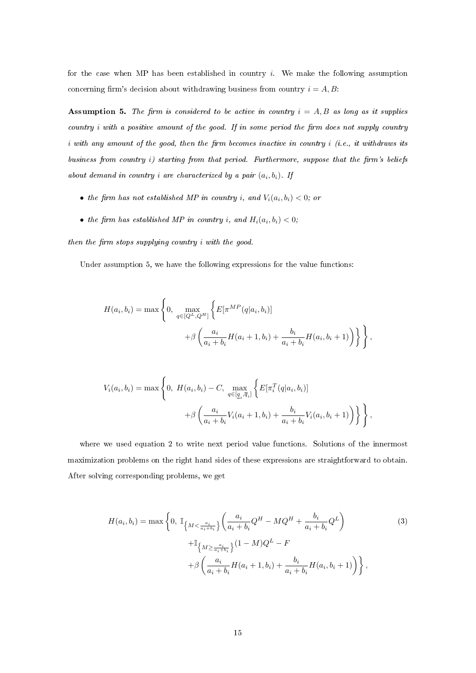for the case when MP has been established in country  $i$ . We make the following assumption concerning firm's decision about withdrawing business from country  $i = A, B$ :

Assumption 5. The firm is considered to be active in country  $i = A, B$  as long as it supplies country  $i$  with a positive amount of the good. If in some period the firm does not supply country i with any amount of the good, then the firm becomes inactive in country  $i$  (i.e., it withdraws its business from country i) starting from that period. Furthermore, suppose that the firm's beliefs about demand in country *i* are characterized by a pair  $(a_i, b_i)$ . If

- the firm has not established MP in country i, and  $V_i(a_i,b_i) < 0$ ; or
- the firm has established MP in country i, and  $H_i(a_i, b_i) < 0;$

then the firm stops supplying country  $i$  with the good.

Under assumption 5, we have the following expressions for the value functions:

$$
H(a_i, b_i) = \max \left\{ 0, \max_{q \in [Q^L, Q^H]} \left\{ E[\pi^{MP}(q|a_i, b_i)] + \beta \left( \frac{a_i}{a_i + b_i} H(a_i + 1, b_i) + \frac{b_i}{a_i + b_i} H(a_i, b_i + 1) \right) \right\} \right\},
$$

$$
V_i(a_i, b_i) = \max \left\{ 0, H(a_i, b_i) - C, \max_{q \in [q_i, \overline{q}_i]} \left\{ E[\pi_i^T(q|a_i, b_i)] + \beta \left( \frac{a_i}{a_i + b_i} V_i(a_i + 1, b_i) + \frac{b_i}{a_i + b_i} V_i(a_i, b_i + 1) \right) \right\} \right\},
$$

where we used equation 2 to write next period value functions. Solutions of the innermost maximization problems on the right hand sides of these expressions are straightforward to obtain. After solving corresponding problems, we get

$$
H(a_i, b_i) = \max \left\{ 0, \ \mathbb{I}_{\left\{ M < \frac{a_i}{a_i + b_i} \right\}} \left( \frac{a_i}{a_i + b_i} Q^H - M Q^H + \frac{b_i}{a_i + b_i} Q^L \right) \right\}
$$
\n
$$
+ \mathbb{I}_{\left\{ M \ge \frac{a_i}{a_i + b_i} \right\}} (1 - M) Q^L - F
$$
\n
$$
+ \beta \left( \frac{a_i}{a_i + b_i} H(a_i + 1, b_i) + \frac{b_i}{a_i + b_i} H(a_i, b_i + 1) \right) \right\},
$$
\n(3)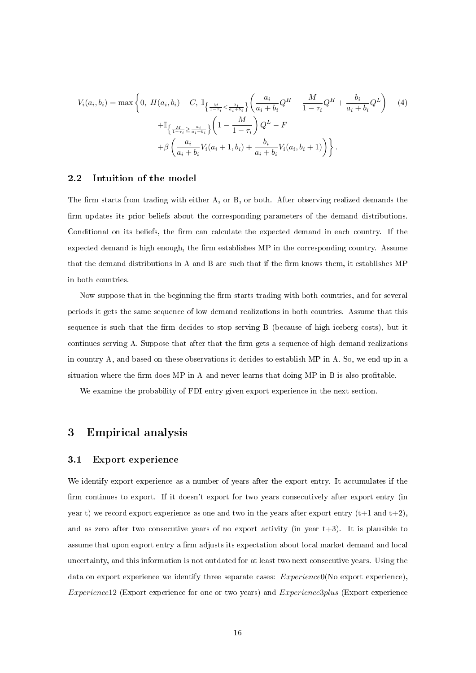$$
V_i(a_i, b_i) = \max \left\{ 0, H(a_i, b_i) - C, \mathbb{I}_{\left\{ \frac{M}{1 - \tau_i} < \frac{a_i}{a_i + b_i} \right\}} \left( \frac{a_i}{a_i + b_i} Q^H - \frac{M}{1 - \tau_i} Q^H + \frac{b_i}{a_i + b_i} Q^L \right) \right\}
$$
\n
$$
+ \mathbb{I}_{\left\{ \frac{M}{1 - \tau_i} \ge \frac{a_i}{a_i + b_i} \right\}} \left( 1 - \frac{M}{1 - \tau_i} \right) Q^L - F
$$
\n
$$
+ \beta \left( \frac{a_i}{a_i + b_i} V_i(a_i + 1, b_i) + \frac{b_i}{a_i + b_i} V_i(a_i, b_i + 1) \right) \right\}.
$$
\n(4)

#### 2.2 Intuition of the model

The firm starts from trading with either  $A$ , or  $B$ , or both. After observing realized demands the firm updates its prior beliefs about the corresponding parameters of the demand distributions. Conditional on its beliefs, the firm can calculate the expected demand in each country. If the expected demand is high enough, the firm establishes MP in the corresponding country. Assume that the demand distributions in A and B are such that if the firm knows them, it establishes  $MP$ in both countries.

Now suppose that in the beginning the firm starts trading with both countries, and for several periods it gets the same sequence of low demand realizations in both countries. Assume that this sequence is such that the firm decides to stop serving B (because of high iceberg costs), but it continues serving A. Suppose that after that the firm gets a sequence of high demand realizations in country A, and based on these observations it decides to establish MP in A. So, we end up in a situation where the firm does MP in A and never learns that doing MP in B is also profitable.

We examine the probability of FDI entry given export experience in the next section.

### 3 Empirical analysis

#### 3.1 Export experience

We identify export experience as a number of years after the export entry. It accumulates if the firm continues to export. If it doesn't export for two years consecutively after export entry (in year t) we record export experience as one and two in the years after export entry  $(t+1 \text{ and } t+2)$ , and as zero after two consecutive years of no export activity (in year  $t+3$ ). It is plausible to assume that upon export entry a firm adjusts its expectation about local market demand and local uncertainty, and this information is not outdated for at least two next consecutive years. Using the data on export experience we identify three separate cases:  $Experience0(No export experience)$ , Experience12 (Export experience for one or two years) and Experience3plus (Export experience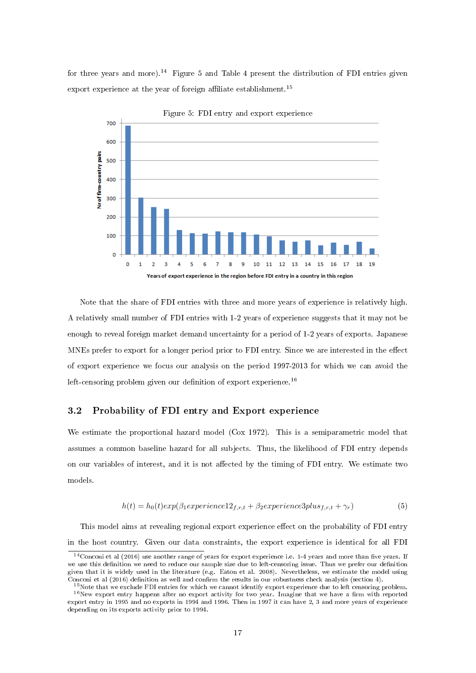for three years and more).<sup>14</sup> Figure 5 and Table 4 present the distribution of FDI entries given export experience at the year of foreign affiliate establishment.<sup>15</sup>



Note that the share of FDI entries with three and more years of experience is relatively high. A relatively small number of FDI entries with 1-2 years of experience suggests that it may not be enough to reveal foreign market demand uncertainty for a period of 1-2 years of exports. Japanese MNEs prefer to export for a longer period prior to FDI entry. Since we are interested in the effect of export experience we focus our analysis on the period 1997-2013 for which we can avoid the left-censoring problem given our definition of export experience.<sup>16</sup>

#### 3.2 Probability of FDI entry and Export experience

We estimate the proportional hazard model (Cox 1972). This is a semiparametric model that assumes a common baseline hazard for all subjects. Thus, the likelihood of FDI entry depends on our variables of interest, and it is not affected by the timing of FDI entry. We estimate two models.

$$
h(t) = h_0(t) exp(\beta_1 experience12_{f,r,t} + \beta_2 experience3plus_{f,r,t} + \gamma_r)
$$
\n(5)

This model aims at revealing regional export experience effect on the probability of FDI entry in the host country. Given our data constraints, the export experience is identical for all FDI

 $14$ Conconi et al (2016) use another range of years for export experience i.e. 1-4 years and more than five years. If we use this definition we need to reduce our sample size due to left-censoring issue. Thus we prefer our definition given that it is widely used in the literature (e.g. Eaton et al. 2008). Nevertheless, we estimate the model using Conconi et al  $(2016)$  definition as well and confirm the results in our robustness check analysis (section 4).

<sup>&</sup>lt;sup>15</sup> Note that we exclude FDI entries for which we cannot identify export experience due to left censoring problem.

 $16$ New export entry happens after no export activity for two year. Imagine that we have a firm with reported export entry in 1995 and no exports in 1994 and 1996. Then in 1997 it can have 2, 3 and more years of experience depending on its exports activity prior to 1994.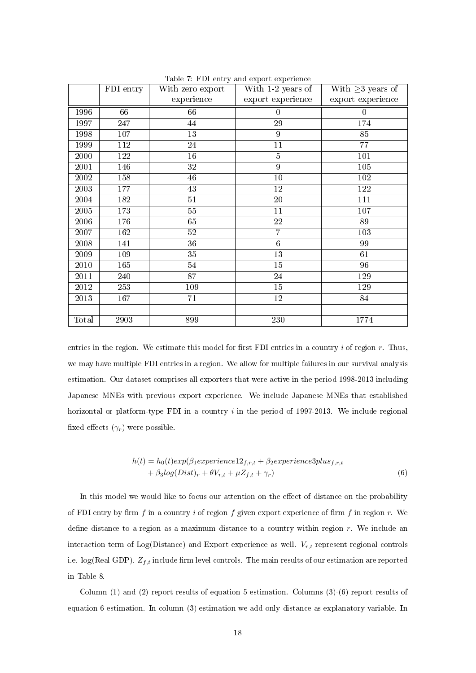|       | FDI entry | With zero export | With 1-2 years of | With $\geq$ 3 years of |
|-------|-----------|------------------|-------------------|------------------------|
|       |           | experience       | export experience | export experience      |
| 1996  | 66        | 66               | $\overline{0}$    | $\boldsymbol{0}$       |
| 1997  | 247       | 44               | 29                | 174                    |
| 1998  | 107       | 13               | 9                 | 85                     |
| 1999  | 112       | 24               | 11                | 77                     |
| 2000  | 122       | 16               | $\overline{5}$    | 101                    |
| 2001  | 146       | 32               | 9                 | 105                    |
| 2002  | 158       | 46               | $10\,$            | 102                    |
| 2003  | 177       | 43               | 12                | 122                    |
| 2004  | 182       | 51               | 20                | 111                    |
| 2005  | 173       | $55\,$           | 11                | 107                    |
| 2006  | 176       | 65               | 22                | 89                     |
| 2007  | 162       | 52               | $\overline{7}$    | 103                    |
| 2008  | 141       | 36               | $\,6$             | 99                     |
| 2009  | 109       | 35               | 13                | 61                     |
| 2010  | 165       | 54               | 15                | 96                     |
| 2011  | 240       | 87               | 24                | 129                    |
| 2012  | 253       | 109              | 15                | 129                    |
| 2013  | 167       | 71               | 12                | 84                     |
|       |           |                  |                   |                        |
| Total | 2903      | 899              | 230               | 1774                   |

Table 7: FDI entry and export experience

entries in the region. We estimate this model for first FDI entries in a country  $i$  of region  $r$ . Thus, we may have multiple FDI entries in a region. We allow for multiple failures in our survival analysis estimation. Our dataset comprises all exporters that were active in the period 1998-2013 including Japanese MNEs with previous export experience. We include Japanese MNEs that established horizontal or platform-type FDI in a country  $i$  in the period of 1997-2013. We include regional fixed effects  $(\gamma_r)$  were possible.

$$
h(t) = h_0(t) exp(\beta_1 experience12_{f,r,t} + \beta_2 experience3plus_{f,r,t}+ \beta_3 log(Dist)_r + \theta V_{r,t} + \mu Z_{f,t} + \gamma_r)
$$
\n(6)

In this model we would like to focus our attention on the effect of distance on the probability of FDI entry by firm f in a country i of region f given export experience of firm f in region r. We define distance to a region as a maximum distance to a country within region  $r$ . We include an interaction term of Log(Distance) and Export experience as well.  $V_{r,t}$  represent regional controls i.e.  $log(Real GDP)$ .  $Z_{f,t}$  include firm level controls. The main results of our estimation are reported in Table 8.

Column (1) and (2) report results of equation 5 estimation. Columns (3)-(6) report results of equation 6 estimation. In column (3) estimation we add only distance as explanatory variable. In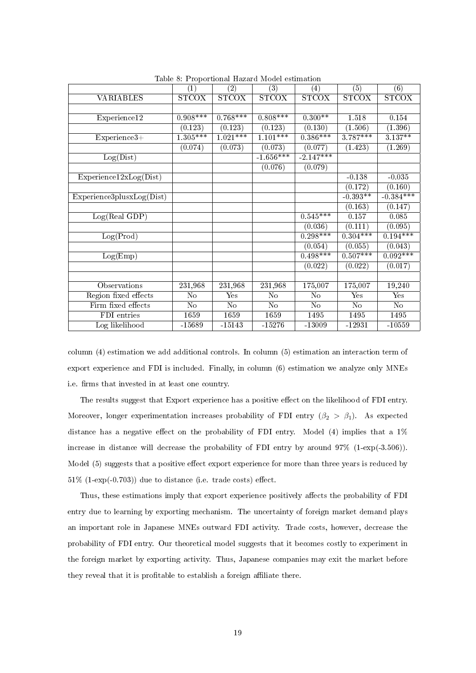| Table 8. Froportional Hazard Model estimation                  |                   |                |                |                   |                |                |  |  |  |
|----------------------------------------------------------------|-------------------|----------------|----------------|-------------------|----------------|----------------|--|--|--|
|                                                                | $\left( 1\right)$ | (2)            | (3)            | $\left( 4\right)$ | (5)            | (6)            |  |  |  |
| <b>VARIABLES</b>                                               | <b>STCOX</b>      | STCOX          | <b>STCOX</b>   | <b>STCOX</b>      | <b>STCOX</b>   | <b>STCOX</b>   |  |  |  |
|                                                                |                   |                |                |                   |                |                |  |  |  |
| Experience12                                                   | $0.908***$        | $0.768***$     | $0.808***$     | $0.300**$         | 1.518          | 0.154          |  |  |  |
|                                                                | (0.123)           | (0.123)        | (0.123)        | (0.130)           | (1.506)        | (1.396)        |  |  |  |
| $Experience3+$                                                 | $1.305***$        | $1.021***$     | $1.101***$     | $0.386***$        | $3.787***$     | $3.137***$     |  |  |  |
|                                                                | (0.074)           | (0.073)        | (0.073)        | (0.077)           | (1.423)        | (1.269)        |  |  |  |
| Log(Dist)                                                      |                   |                | $-1.656***$    | $-2.147***$       |                |                |  |  |  |
|                                                                |                   |                | (0.076)        | (0.079)           |                |                |  |  |  |
| Expect(Dist)                                                   |                   |                |                |                   | $-0.138$       | $-0.035$       |  |  |  |
|                                                                |                   |                |                |                   | (0.172)        | (0.160)        |  |  |  |
| $\overline{\text{Experience3}$ plusx $\text{Log}(\text{Dist})$ |                   |                |                |                   | $-0.393**$     | $-0.384***$    |  |  |  |
|                                                                |                   |                |                |                   | (0.163)        | (0.147)        |  |  |  |
| Log(Real GDP)                                                  |                   |                |                | $0.545***$        | 0.157          | 0.085          |  |  |  |
|                                                                |                   |                |                | (0.036)           | (0.111)        | (0.095)        |  |  |  |
| Log(Prod)                                                      |                   |                |                | $0.298***$        | $0.304***$     | $0.194***$     |  |  |  |
|                                                                |                   |                |                | (0.054)           | (0.055)        | (0.043)        |  |  |  |
| Log(Emp)                                                       |                   |                |                | $0.498***$        | $0.507***$     | $0.092***$     |  |  |  |
|                                                                |                   |                |                | (0.022)           | (0.022)        | (0.017)        |  |  |  |
|                                                                |                   |                |                |                   |                |                |  |  |  |
| Observations                                                   | 231,968           | 231,968        | 231,968        | 175,007           | 175,007        | 19,240         |  |  |  |
| Region fixed effects                                           | N <sub>o</sub>    | Yes            | No             | No                | Yes            | Yes            |  |  |  |
| Firm fixed effects                                             | N <sub>o</sub>    | N <sub>o</sub> | N <sub>o</sub> | N <sub>o</sub>    | N <sub>o</sub> | N <sub>o</sub> |  |  |  |
| FDI entries                                                    | 1659              | 1659           | 1659           | 1495              | 1495           | 1495           |  |  |  |
| Log likelihood                                                 | $-15689$          | $-15143$       | $-15276$       | $-13009$          | $-12931$       | $-10559$       |  |  |  |

Table 8: Proportional Hazard Model estimation

column (4) estimation we add additional controls. In column (5) estimation an interaction term of export experience and FDI is included. Finally, in column (6) estimation we analyze only MNEs i.e. firms that invested in at least one country.

The results suggest that Export experience has a positive effect on the likelihood of FDI entry. Moreover, longer experimentation increases probability of FDI entry  $(\beta_2 > \beta_1)$ . As expected distance has a negative effect on the probability of FDI entry. Model  $(4)$  implies that a  $1\%$ increase in distance will decrease the probability of FDI entry by around 97% (1-exp(-3.506)). Model (5) suggests that a positive effect export experience for more than three years is reduced by  $51\%$  (1-exp(-0.703)) due to distance (i.e. trade costs) effect.

Thus, these estimations imply that export experience positively affects the probability of FDI entry due to learning by exporting mechanism. The uncertainty of foreign market demand plays an important role in Japanese MNEs outward FDI activity. Trade costs, however, decrease the probability of FDI entry. Our theoretical model suggests that it becomes costly to experiment in the foreign market by exporting activity. Thus, Japanese companies may exit the market before they reveal that it is profitable to establish a foreign affiliate there.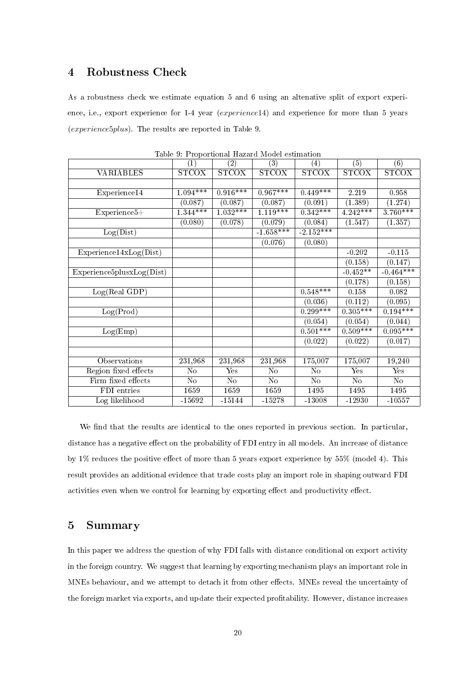## 4 Robustness Check

As a robustness check we estimate equation 5 and 6 using an altenative split of export experience, i.e., export experience for 1-4 year (experience14) and experience for more than 5 years (experience5plus). The results are reported in Table 9.

|                           | $\left( 1\right)$ | (2)          | $\overline{(3)}$ | $\left( 4\right)$ | (5)          | (6)                       |
|---------------------------|-------------------|--------------|------------------|-------------------|--------------|---------------------------|
| <b>VARIABLES</b>          | <b>STCOX</b>      | <b>STCOX</b> | <b>STCOX</b>     | <b>STCOX</b>      | <b>STCOX</b> | <b>STCOX</b>              |
|                           |                   |              |                  |                   |              |                           |
| Experience14              | $1.094***$        | $0.916***$   | $0.967***$       | $0.449***$        | 2.219        | 0.958                     |
|                           | (0.087)           | (0.087)      | (0.087)          | (0.091)           | (1.389)      | (1.274)                   |
| Experience5+              | $1.344***$        | $1.032***$   | $1.119***$       | $0.342***$        | $4.242***$   | $3.760***$                |
|                           | (0.080)           | (0.078)      | (0.079)          | (0.084)           | (1.547)      | (1.357)                   |
| Log(Dist)                 |                   |              | $-1.658***$      | $-2.152***$       |              |                           |
|                           |                   |              | (0.076)          | (0.080)           |              |                           |
| Expected4xLog(Dist)       |                   |              |                  |                   | $-0.202$     | $-0.115$                  |
|                           |                   |              |                  |                   | (0.158)      | (0.147)                   |
| Experience5plusxLog(Dist) |                   |              |                  |                   | $-0.452**$   | $-0.464***$               |
|                           |                   |              |                  |                   | (0.178)      | (0.158)                   |
| Log(Real GDP)             |                   |              |                  | $0.548***$        | 0.158        | 0.082                     |
|                           |                   |              |                  | (0.036)           | (0.112)      | (0.095)                   |
| Log(Prod)                 |                   |              |                  | $0.299***$        | $0.305***$   | $0.194***$                |
|                           |                   |              |                  | (0.054)           | (0.054)      | (0.044)                   |
| Log(Emp)                  |                   |              |                  | $0.501***$        | $0.509***$   | $0.095***$                |
|                           |                   |              |                  | (0.022)           | (0.022)      | (0.017)                   |
|                           |                   |              |                  |                   |              |                           |
| Observations              | 231,968           | 231,968      | 231,968          | 175,007           | 175,007      | 19,240                    |
| Region fixed effects      | No                | Yes          | No               | No                | Yes          | $\overline{\mathrm{Yes}}$ |
| Firm fixed effects        | $\rm No$          | No           | No               | No                | No           | No                        |
| FDI entries               | 1659              | 1659         | 1659             | 1495              | 1495         | 1495                      |
| Log likelihood            | $-15692$          | $-15144$     | $-15278$         | $-13008$          | $-12930$     | $-10557$                  |

Table 9: Proportional Hazard Model estimation

We find that the results are identical to the ones reported in previous section. In particular, distance has a negative effect on the probability of FDI entry in all models. An increase of distance by  $1\%$  reduces the positive effect of more than 5 years export experience by  $55\%$  (model 4). This result provides an additional evidence that trade costs play an import role in shaping outward FDI activities even when we control for learning by exporting effect and productivity effect.

### 5 Summary

In this paper we address the question of why FDI falls with distance conditional on export activity in the foreign country. We suggest that learning by exporting mechanism plays an important role in MNEs behaviour, and we attempt to detach it from other effects. MNEs reveal the uncertainty of the foreign market via exports, and update their expected profitability. However, distance increases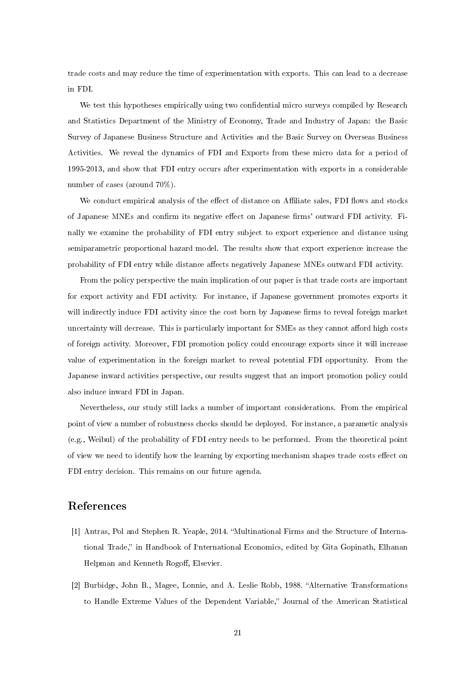trade costs and may reduce the time of experimentation with exports. This can lead to a decrease in FDI.

We test this hypotheses empirically using two confidential micro surveys compiled by Research and Statistics Department of the Ministry of Economy, Trade and Industry of Japan: the Basic Survey of Japanese Business Structure and Activities and the Basic Survey on Overseas Business Activities. We reveal the dynamics of FDI and Exports from these micro data for a period of 1995-2013, and show that FDI entry occurs after experimentation with exports in a considerable number of cases (around 70%).

We conduct empirical analysis of the effect of distance on Affiliate sales, FDI flows and stocks of Japanese MNEs and confirm its negative effect on Japanese firms' outward FDI activity. Finally we examine the probability of FDI entry subject to export experience and distance using semiparametric proportional hazard model. The results show that export experience increase the probability of FDI entry while distance affects negatively Japanese MNEs outward FDI activity.

From the policy perspective the main implication of our paper is that trade costs are important for export activity and FDI activity. For instance, if Japanese government promotes exports it will indirectly induce FDI activity since the cost born by Japanese firms to reveal foreign market uncertainty will decrease. This is particularly important for SMEs as they cannot afford high costs of foreign activity. Moreover, FDI promotion policy could encourage exports since it will increase value of experimentation in the foreign market to reveal potential FDI opportunity. From the Japanese inward activities perspective, our results suggest that an import promotion policy could also induce inward FDI in Japan.

Nevertheless, our study still lacks a number of important considerations. From the empirical point of view a number of robustness checks should be deployed. For instance, a parametic analysis (e.g., Weibul) of the probability of FDI entry needs to be performed. From the theoretical point of view we need to identify how the learning by exporting mechanism shapes trade costs effect on FDI entry decision. This remains on our future agenda.

## References

- [1] Antras, Pol and Stephen R. Yeaple, 2014. Multinational Firms and the Structure of International Trade," in Handbook of I'nternational Economics, edited by Gita Gopinath, Elhanan Helpman and Kenneth Rogoff, Elsevier.
- [2] Burbidge, John B., Magee, Lonnie, and A. Leslie Robb, 1988. "Alternative Transformations to Handle Extreme Values of the Dependent Variable," Journal of the American Statistical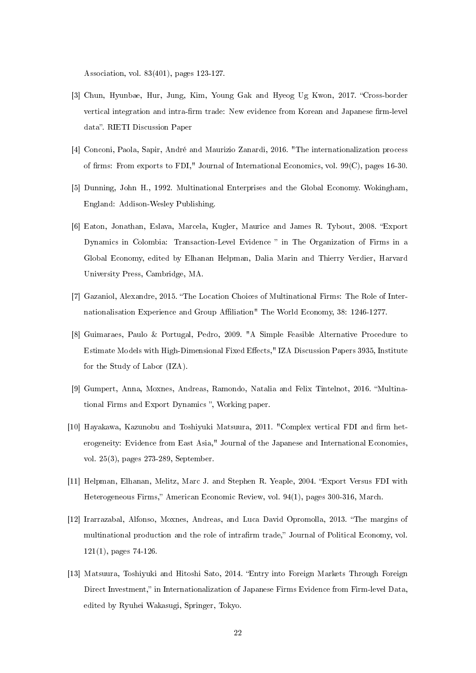Association, vol. 83(401), pages 123-127.

- [3] Chun, Hyunbae, Hur, Jung, Kim, Young Gak and Hyeog Ug Kwon, 2017. "Cross-border vertical integration and intra-firm trade: New evidence from Korean and Japanese firm-level data". RIETI Discussion Paper
- [4] Conconi, Paola, Sapir, André and Maurizio Zanardi, 2016. "The internationalization process of firms: From exports to FDI," Journal of International Economics, vol.  $99(C)$ , pages 16-30.
- [5] Dunning, John H., 1992. Multinational Enterprises and the Global Economy. Wokingham, England: Addison-Wesley Publishing.
- [6] Eaton, Jonathan, Eslava, Marcela, Kugler, Maurice and James R. Tybout, 2008. "Export Dynamics in Colombia: Transaction-Level Evidence " in The Organization of Firms in a Global Economy, edited by Elhanan Helpman, Dalia Marin and Thierry Verdier, Harvard University Press, Cambridge, MA.
- [7] Gazaniol, Alexandre, 2015. "The Location Choices of Multinational Firms: The Role of Internationalisation Experience and Group Aliation" The World Economy, 38: 1246-1277.
- [8] Guimaraes, Paulo & Portugal, Pedro, 2009. "A Simple Feasible Alternative Procedure to Estimate Models with High-Dimensional Fixed Effects," IZA Discussion Papers 3935, Institute for the Study of Labor (IZA).
- [9] Gumpert, Anna, Moxnes, Andreas, Ramondo, Natalia and Felix Tintelnot, 2016. "Multinational Firms and Export Dynamics ", Working paper.
- [10] Hayakawa, Kazunobu and Toshiyuki Matsuura, 2011. "Complex vertical FDI and firm heterogeneity: Evidence from East Asia," Journal of the Japanese and International Economies, vol. 25(3), pages 273-289, September.
- [11] Helpman, Elhanan, Melitz, Marc J. and Stephen R. Yeaple, 2004. "Export Versus FDI with Heterogeneous Firms," American Economic Review, vol. 94(1), pages 300-316, March.
- [12] Irarrazabal, Alfonso, Moxnes, Andreas, and Luca David Opromolla, 2013. The margins of multinational production and the role of intrafirm trade," Journal of Political Economy, vol. 121(1), pages 74-126.
- [13] Matsuura, Toshiyuki and Hitoshi Sato, 2014. Entry into Foreign Markets Through Foreign Direct Investment," in Internationalization of Japanese Firms Evidence from Firm-level Data, edited by Ryuhei Wakasugi, Springer, Tokyo.